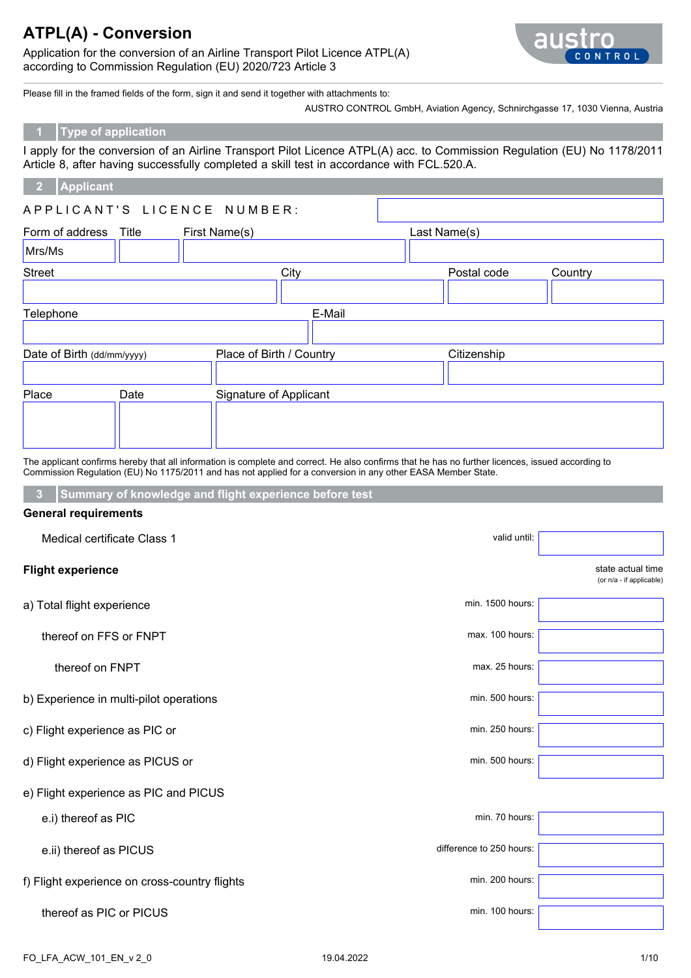Application for the conversion of an Airline Transport Pilot Licence ATPL(A) according to Commission Regulation (EU) 2020/723 Article 3



Please fill in the framed fields of the form, sign it and send it together with attachments to:

AUSTRO CONTROL GmbH, Aviation Agency, Schnirchgasse 17, 1030 Vienna, Austria

#### **1 Type of application**

I apply for the conversion of an Airline Transport Pilot Licence ATPL(A) acc. to Commission Regulation (EU) No 1178/2011 Article 8, after having successfully completed a skill test in accordance with FCL.520.A.

#### **2 Applicant**

| Form of address            | Title | First Name(s)            | Last Name(s) |         |  |
|----------------------------|-------|--------------------------|--------------|---------|--|
| Mrs/Ms                     |       |                          |              |         |  |
| <b>Street</b>              |       | City                     | Postal code  | Country |  |
|                            |       |                          |              |         |  |
| Telephone                  |       | E-Mail                   |              |         |  |
|                            |       |                          |              |         |  |
| Date of Birth (dd/mm/yyyy) |       | Place of Birth / Country | Citizenship  |         |  |
|                            |       |                          |              |         |  |
| Place                      | Date  | Signature of Applicant   |              |         |  |
|                            |       |                          |              |         |  |
|                            |       |                          |              |         |  |
|                            |       |                          |              |         |  |

The applicant confirms hereby that all information is complete and correct. He also confirms that he has no further licences, issued according to Commission Regulation (EU) No 1175/2011 and has not applied for a conversion in any other EASA Member State.

**3 Summary of knowledge and flight experience before test**

#### **General requirements**

| Medical certificate Class 1                   | valid until:             |                                               |
|-----------------------------------------------|--------------------------|-----------------------------------------------|
| <b>Flight experience</b>                      |                          | state actual time<br>(or n/a - if applicable) |
| a) Total flight experience                    | min. 1500 hours:         |                                               |
| thereof on FFS or FNPT                        | max. 100 hours:          |                                               |
| thereof on FNPT                               | max. 25 hours:           |                                               |
| b) Experience in multi-pilot operations       | min. 500 hours:          |                                               |
| c) Flight experience as PIC or                | min. 250 hours:          |                                               |
| d) Flight experience as PICUS or              | min. 500 hours:          |                                               |
| e) Flight experience as PIC and PICUS         |                          |                                               |
| e.i) thereof as PIC                           | min. 70 hours:           |                                               |
| e.ii) thereof as PICUS                        | difference to 250 hours: |                                               |
| f) Flight experience on cross-country flights | min. 200 hours:          |                                               |
| thereof as PIC or PICUS                       | min. 100 hours:          |                                               |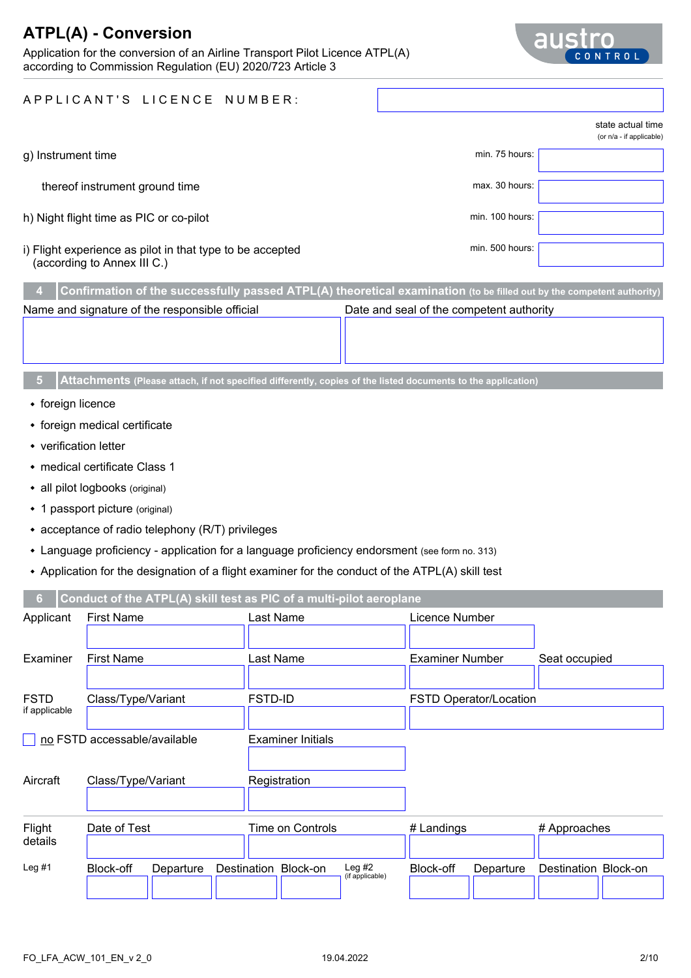Application for the conversion of an Airline Transport Pilot Licence ATPL(A) according to Commission Regulation (EU) 2020/723 Article 3



|                                                                                          |                 | state actual time<br>(or n/a - if applicable) |
|------------------------------------------------------------------------------------------|-----------------|-----------------------------------------------|
| g) Instrument time                                                                       | min. 75 hours:  |                                               |
| thereof instrument ground time                                                           | max. 30 hours:  |                                               |
| h) Night flight time as PIC or co-pilot                                                  | min. 100 hours: |                                               |
| i) Flight experience as pilot in that type to be accepted<br>(according to Annex III C.) | min. 500 hours: |                                               |
|                                                                                          |                 |                                               |

|                                                                                            |                                                                                                                        | $\mid$ 4 Confirmation of the successfully passed ATPL(A) theoretical examination (to be filled out by the competent authority) |  |  |  |  |  |  |  |  |
|--------------------------------------------------------------------------------------------|------------------------------------------------------------------------------------------------------------------------|--------------------------------------------------------------------------------------------------------------------------------|--|--|--|--|--|--|--|--|
| Name and signature of the responsible official<br>Date and seal of the competent authority |                                                                                                                        |                                                                                                                                |  |  |  |  |  |  |  |  |
|                                                                                            |                                                                                                                        |                                                                                                                                |  |  |  |  |  |  |  |  |
|                                                                                            |                                                                                                                        |                                                                                                                                |  |  |  |  |  |  |  |  |
|                                                                                            |                                                                                                                        |                                                                                                                                |  |  |  |  |  |  |  |  |
|                                                                                            | <b>5</b> Attachments (Please attach, if not specified differently, copies of the listed documents to the application), |                                                                                                                                |  |  |  |  |  |  |  |  |

- foreign licence
- foreign medical certificate
- verification letter
- medical certificate Class 1
- all pilot logbooks (original)
- 1 passport picture (original)
- acceptance of radio telephony (R/T) privileges
- Language proficiency application for a language proficiency endorsment (see form no. 313)
- Application for the designation of a flight examiner for the conduct of the ATPL(A) skill test

| 6.                           |                              | Conduct of the ATPL(A) skill test as PIC of a multi-pilot aeroplane |                        |                      |
|------------------------------|------------------------------|---------------------------------------------------------------------|------------------------|----------------------|
| Applicant                    | <b>First Name</b>            | Last Name                                                           | Licence Number         |                      |
|                              |                              |                                                                     |                        |                      |
| Examiner                     | <b>First Name</b>            | Last Name                                                           | <b>Examiner Number</b> | Seat occupied        |
|                              |                              |                                                                     |                        |                      |
| <b>FSTD</b><br>if applicable | Class/Type/Variant           | <b>FSTD-ID</b>                                                      | FSTD Operator/Location |                      |
|                              |                              |                                                                     |                        |                      |
|                              | no FSTD accessable/available | <b>Examiner Initials</b>                                            |                        |                      |
| Aircraft                     | Class/Type/Variant           | Registration                                                        |                        |                      |
|                              |                              |                                                                     |                        |                      |
| Flight                       | Date of Test                 | Time on Controls                                                    | # Landings             | # Approaches         |
| details                      |                              |                                                                     |                        |                      |
| Leg $#1$                     | Block-off<br>Departure       | Leg $#2$<br>Destination Block-on<br>(if applicable)                 | Block-off<br>Departure | Destination Block-on |
|                              |                              |                                                                     |                        |                      |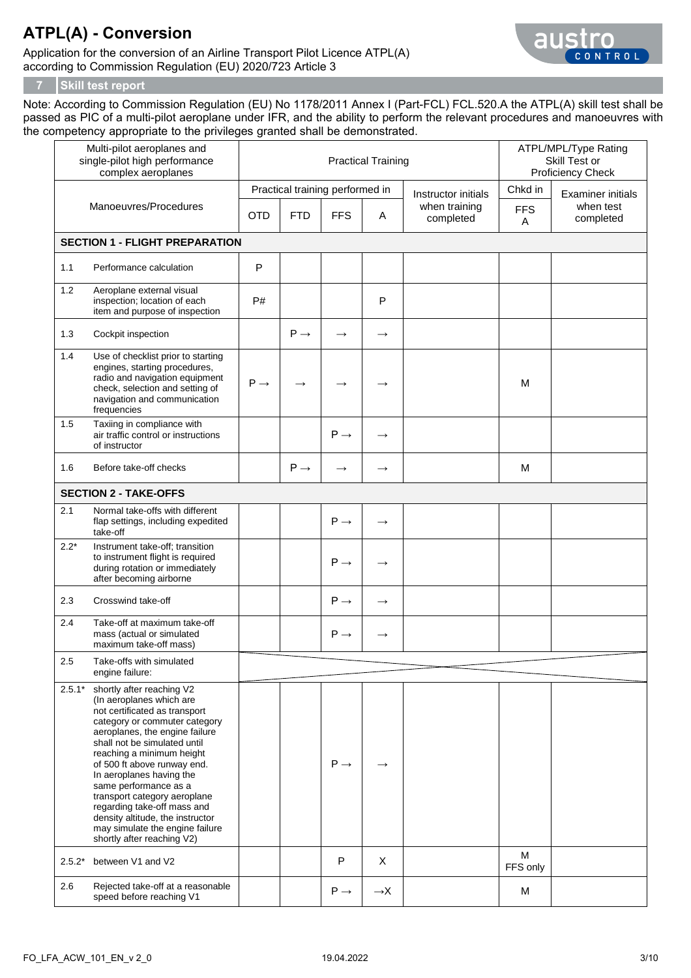Application for the conversion of an Airline Transport Pilot Licence ATPL(A) according to Commission Regulation (EU) 2020/723 Article 3



#### **7 Skill test report**

Note: According to Commission Regulation (EU) No 1178/2011 Annex I (Part-FCL) FCL.520.A the ATPL(A) skill test shall be passed as PIC of a multi-pilot aeroplane under IFR, and the ability to perform the relevant procedures and manoeuvres with the competency appropriate to the privileges granted shall be demonstrated.

|          | Multi-pilot aeroplanes and<br>single-pilot high performance<br>complex aeroplanes                                                                                                                                                                                                                                                                                                                                                                                              |                 |                 | <b>Practical Training</b>                     | ATPL/MPL/Type Rating<br>Skill Test or<br>Proficiency Check |                                                   |                       |                                                    |
|----------|--------------------------------------------------------------------------------------------------------------------------------------------------------------------------------------------------------------------------------------------------------------------------------------------------------------------------------------------------------------------------------------------------------------------------------------------------------------------------------|-----------------|-----------------|-----------------------------------------------|------------------------------------------------------------|---------------------------------------------------|-----------------------|----------------------------------------------------|
|          | Manoeuvres/Procedures                                                                                                                                                                                                                                                                                                                                                                                                                                                          | <b>OTD</b>      | <b>FTD</b>      | Practical training performed in<br><b>FFS</b> | Α                                                          | Instructor initials<br>when training<br>completed | Chkd in<br><b>FFS</b> | <b>Examiner initials</b><br>when test<br>completed |
|          | <b>SECTION 1 - FLIGHT PREPARATION</b>                                                                                                                                                                                                                                                                                                                                                                                                                                          |                 |                 |                                               |                                                            |                                                   | A                     |                                                    |
| 1.1      | Performance calculation                                                                                                                                                                                                                                                                                                                                                                                                                                                        | P               |                 |                                               |                                                            |                                                   |                       |                                                    |
| 1.2      |                                                                                                                                                                                                                                                                                                                                                                                                                                                                                |                 |                 |                                               |                                                            |                                                   |                       |                                                    |
|          | Aeroplane external visual<br>inspection; location of each<br>item and purpose of inspection                                                                                                                                                                                                                                                                                                                                                                                    | P#              |                 |                                               | P                                                          |                                                   |                       |                                                    |
| 1.3      | Cockpit inspection                                                                                                                                                                                                                                                                                                                                                                                                                                                             |                 | $P \rightarrow$ | $\rightarrow$                                 | $\rightarrow$                                              |                                                   |                       |                                                    |
| 1.4      | Use of checklist prior to starting<br>engines, starting procedures,<br>radio and navigation equipment<br>check, selection and setting of<br>navigation and communication<br>frequencies                                                                                                                                                                                                                                                                                        | $P \rightarrow$ | $\rightarrow$   |                                               | $\rightarrow$                                              |                                                   | M                     |                                                    |
| 1.5      | Taxiing in compliance with<br>air traffic control or instructions<br>of instructor                                                                                                                                                                                                                                                                                                                                                                                             |                 |                 | $P \rightarrow$                               | $\rightarrow$                                              |                                                   |                       |                                                    |
| 1.6      | Before take-off checks                                                                                                                                                                                                                                                                                                                                                                                                                                                         |                 | $P \rightarrow$ |                                               | $\rightarrow$                                              |                                                   | M                     |                                                    |
|          | <b>SECTION 2 - TAKE-OFFS</b>                                                                                                                                                                                                                                                                                                                                                                                                                                                   |                 |                 |                                               |                                                            |                                                   |                       |                                                    |
| 2.1      | Normal take-offs with different<br>flap settings, including expedited<br>take-off                                                                                                                                                                                                                                                                                                                                                                                              |                 |                 | $P \rightarrow$                               | $\rightarrow$                                              |                                                   |                       |                                                    |
| $2.2*$   | Instrument take-off; transition<br>to instrument flight is required<br>during rotation or immediately<br>after becoming airborne                                                                                                                                                                                                                                                                                                                                               |                 |                 | $P \rightarrow$                               | $\rightarrow$                                              |                                                   |                       |                                                    |
| 2.3      | Crosswind take-off                                                                                                                                                                                                                                                                                                                                                                                                                                                             |                 |                 | $P \rightarrow$                               | $\longrightarrow$                                          |                                                   |                       |                                                    |
| 2.4      | Take-off at maximum take-off<br>mass (actual or simulated<br>maximum take-off mass)                                                                                                                                                                                                                                                                                                                                                                                            |                 |                 | $P \rightarrow$                               | $\rightarrow$                                              |                                                   |                       |                                                    |
| 2.5      | Take-offs with simulated<br>engine failure:                                                                                                                                                                                                                                                                                                                                                                                                                                    |                 |                 |                                               |                                                            |                                                   |                       |                                                    |
| $2.5.1*$ | shortly after reaching V2<br>(In aeroplanes which are<br>not certificated as transport<br>category or commuter category<br>aeroplanes, the engine failure<br>shall not be simulated until<br>reaching a minimum height<br>of 500 ft above runway end.<br>In aeroplanes having the<br>same performance as a<br>transport category aeroplane<br>regarding take-off mass and<br>density altitude, the instructor<br>may simulate the engine failure<br>shortly after reaching V2) |                 |                 | $P \rightarrow$                               |                                                            |                                                   |                       |                                                    |
| $2.5.2*$ | between V1 and V2                                                                                                                                                                                                                                                                                                                                                                                                                                                              |                 |                 | P                                             | X                                                          |                                                   | M<br>FFS only         |                                                    |
| 2.6      | Rejected take-off at a reasonable<br>speed before reaching V1                                                                                                                                                                                                                                                                                                                                                                                                                  |                 |                 | $P \rightarrow$                               | $\rightarrow$ X                                            |                                                   | M                     |                                                    |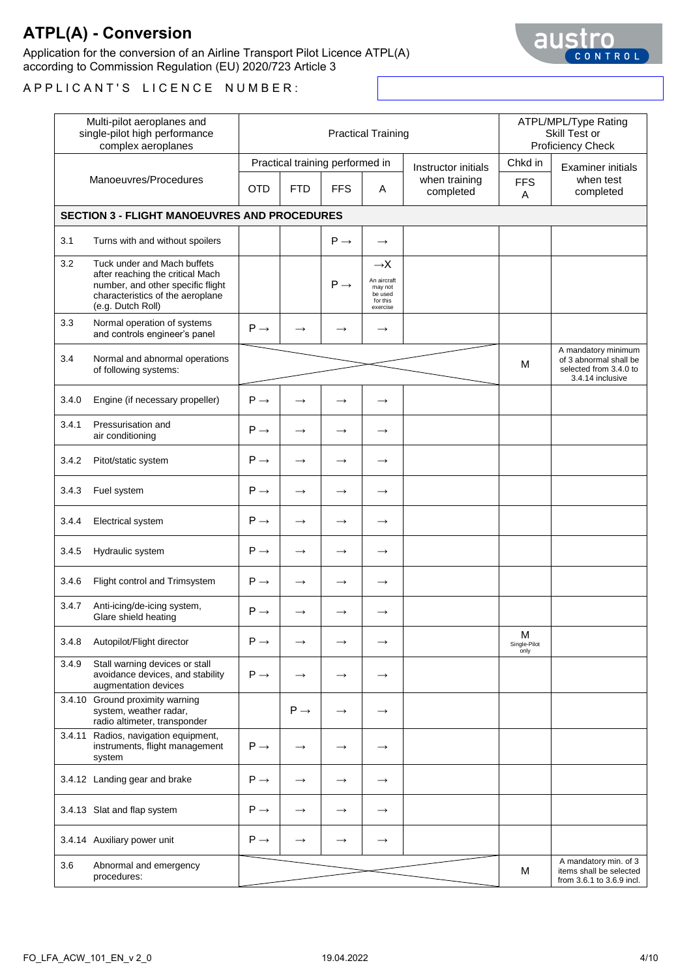Application for the conversion of an Airline Transport Pilot Licence ATPL(A) according to Commission Regulation (EU) 2020/723 Article 3



| Multi-pilot aeroplanes and<br>single-pilot high performance<br>complex aeroplanes |                                                                                                                                                               |                 |                 | <b>Practical Training</b>                     |                                                                              | ATPL/MPL/Type Rating<br>Skill Test or<br>Proficiency Check |                            |                                                                                             |
|-----------------------------------------------------------------------------------|---------------------------------------------------------------------------------------------------------------------------------------------------------------|-----------------|-----------------|-----------------------------------------------|------------------------------------------------------------------------------|------------------------------------------------------------|----------------------------|---------------------------------------------------------------------------------------------|
|                                                                                   | Manoeuvres/Procedures                                                                                                                                         | <b>OTD</b>      | <b>FTD</b>      | Practical training performed in<br><b>FFS</b> | Α                                                                            | Instructor initials<br>when training<br>completed          | Chkd in<br><b>FFS</b><br>A | <b>Examiner initials</b><br>when test<br>completed                                          |
|                                                                                   | <b>SECTION 3 - FLIGHT MANOEUVRES AND PROCEDURES</b>                                                                                                           |                 |                 |                                               |                                                                              |                                                            |                            |                                                                                             |
| 3.1                                                                               | Turns with and without spoilers                                                                                                                               |                 |                 | $P \rightarrow$                               | $\rightarrow$                                                                |                                                            |                            |                                                                                             |
| 3.2                                                                               | Tuck under and Mach buffets<br>after reaching the critical Mach<br>number, and other specific flight<br>characteristics of the aeroplane<br>(e.g. Dutch Roll) |                 |                 | $P \rightarrow$                               | $\rightarrow$ X<br>An aircraft<br>may not<br>be used<br>for this<br>exercise |                                                            |                            |                                                                                             |
| 3.3                                                                               | Normal operation of systems<br>and controls engineer's panel                                                                                                  | $P \rightarrow$ | $\rightarrow$   |                                               | $\rightarrow$                                                                |                                                            |                            |                                                                                             |
| 3.4                                                                               | Normal and abnormal operations<br>of following systems:                                                                                                       |                 |                 |                                               |                                                                              |                                                            | M                          | A mandatory minimum<br>of 3 abnormal shall be<br>selected from 3.4.0 to<br>3.4.14 inclusive |
| 3.4.0                                                                             | Engine (if necessary propeller)                                                                                                                               | $P \rightarrow$ | $\rightarrow$   | $\rightarrow$                                 | $\rightarrow$                                                                |                                                            |                            |                                                                                             |
| 3.4.1                                                                             | Pressurisation and<br>air conditioning                                                                                                                        | $P \rightarrow$ | $\rightarrow$   | $\rightarrow$                                 | $\rightarrow$                                                                |                                                            |                            |                                                                                             |
| 3.4.2                                                                             | Pitot/static system                                                                                                                                           | $P \rightarrow$ | $\rightarrow$   | $\rightarrow$                                 | $\rightarrow$                                                                |                                                            |                            |                                                                                             |
| 3.4.3                                                                             | Fuel system                                                                                                                                                   | $P \rightarrow$ | $\rightarrow$   | $\rightarrow$                                 | $\rightarrow$                                                                |                                                            |                            |                                                                                             |
| 3.4.4                                                                             | Electrical system                                                                                                                                             | $P \rightarrow$ | $\rightarrow$   | $\rightarrow$                                 | $\rightarrow$                                                                |                                                            |                            |                                                                                             |
| 3.4.5                                                                             | Hydraulic system                                                                                                                                              | $P \rightarrow$ | $\rightarrow$   |                                               | $\rightarrow$                                                                |                                                            |                            |                                                                                             |
| 3.4.6                                                                             | Flight control and Trimsystem                                                                                                                                 | $P \rightarrow$ | $\rightarrow$   |                                               | $\rightarrow$                                                                |                                                            |                            |                                                                                             |
| 3.4.7                                                                             | Anti-icing/de-icing system,<br>Glare shield heating                                                                                                           | $P \rightarrow$ | $\rightarrow$   |                                               | $\longrightarrow$                                                            |                                                            |                            |                                                                                             |
| 3.4.8                                                                             | Autopilot/Flight director                                                                                                                                     | $P \rightarrow$ | $\rightarrow$   |                                               | $\rightarrow$                                                                |                                                            | M<br>Single-Pilot<br>only  |                                                                                             |
| 3.4.9                                                                             | Stall warning devices or stall<br>avoidance devices, and stability<br>augmentation devices                                                                    | $P \rightarrow$ | $\rightarrow$   |                                               | $\rightarrow$                                                                |                                                            |                            |                                                                                             |
|                                                                                   | 3.4.10 Ground proximity warning<br>system, weather radar,<br>radio altimeter, transponder                                                                     |                 | $P \rightarrow$ |                                               | $\rightarrow$                                                                |                                                            |                            |                                                                                             |
|                                                                                   | 3.4.11 Radios, navigation equipment,<br>instruments, flight management<br>system                                                                              | $P \rightarrow$ | $\rightarrow$   |                                               | $\rightarrow$                                                                |                                                            |                            |                                                                                             |
|                                                                                   | 3.4.12 Landing gear and brake                                                                                                                                 | $P \rightarrow$ | $\rightarrow$   | $\rightarrow$                                 | $\rightarrow$                                                                |                                                            |                            |                                                                                             |
|                                                                                   | 3.4.13 Slat and flap system                                                                                                                                   | $P \rightarrow$ | $\rightarrow$   | $\rightarrow$                                 | $\rightarrow$                                                                |                                                            |                            |                                                                                             |
|                                                                                   | 3.4.14 Auxiliary power unit                                                                                                                                   | $P \rightarrow$ | $\rightarrow$   |                                               | $\rightarrow$                                                                |                                                            |                            |                                                                                             |
| 3.6                                                                               | Abnormal and emergency<br>procedures:                                                                                                                         |                 |                 |                                               |                                                                              |                                                            | M                          | A mandatory min. of 3<br>items shall be selected<br>from 3.6.1 to 3.6.9 incl.               |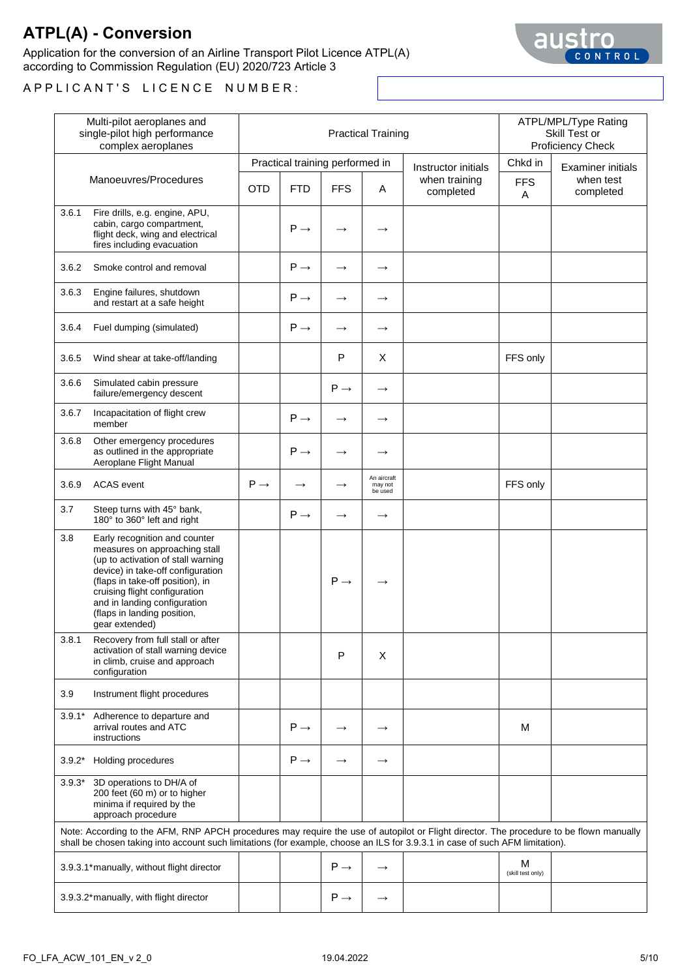Application for the conversion of an Airline Transport Pilot Licence ATPL(A) according to Commission Regulation (EU) 2020/723 Article 3



|          | Multi-pilot aeroplanes and<br>single-pilot high performance<br>complex aeroplanes                                                                                                                                                                                                               |                 |                 | <b>Practical Training</b>       |                                   | ATPL/MPL/Type Rating<br>Skill Test or<br>Proficiency Check |                        |                          |
|----------|-------------------------------------------------------------------------------------------------------------------------------------------------------------------------------------------------------------------------------------------------------------------------------------------------|-----------------|-----------------|---------------------------------|-----------------------------------|------------------------------------------------------------|------------------------|--------------------------|
|          |                                                                                                                                                                                                                                                                                                 |                 |                 | Practical training performed in |                                   | Instructor initials                                        | Chkd in                | <b>Examiner initials</b> |
|          | Manoeuvres/Procedures                                                                                                                                                                                                                                                                           | <b>OTD</b>      | <b>FTD</b>      | <b>FFS</b>                      | A                                 | when training<br>completed                                 | <b>FFS</b><br>A        | when test<br>completed   |
| 3.6.1    | Fire drills, e.g. engine, APU,<br>cabin, cargo compartment,<br>flight deck, wing and electrical<br>fires including evacuation                                                                                                                                                                   |                 | $P \rightarrow$ |                                 | $\rightarrow$                     |                                                            |                        |                          |
| 3.6.2    | Smoke control and removal                                                                                                                                                                                                                                                                       |                 | $P \rightarrow$ | $\rightarrow$                   | $\longrightarrow$                 |                                                            |                        |                          |
| 3.6.3    | Engine failures, shutdown<br>and restart at a safe height                                                                                                                                                                                                                                       |                 | $P \rightarrow$ | $\rightarrow$                   | $\rightarrow$                     |                                                            |                        |                          |
| 3.6.4    | Fuel dumping (simulated)                                                                                                                                                                                                                                                                        |                 | $P \rightarrow$ | $\rightarrow$                   | $\longrightarrow$                 |                                                            |                        |                          |
| 3.6.5    | Wind shear at take-off/landing                                                                                                                                                                                                                                                                  |                 |                 | P                               | X                                 |                                                            | FFS only               |                          |
| 3.6.6    | Simulated cabin pressure<br>failure/emergency descent                                                                                                                                                                                                                                           |                 |                 | $P \rightarrow$                 | $\rightarrow$                     |                                                            |                        |                          |
| 3.6.7    | Incapacitation of flight crew<br>member                                                                                                                                                                                                                                                         |                 | $P \rightarrow$ | $\rightarrow$                   | $\rightarrow$                     |                                                            |                        |                          |
| 3.6.8    | Other emergency procedures<br>as outlined in the appropriate<br>Aeroplane Flight Manual                                                                                                                                                                                                         |                 | $P \rightarrow$ |                                 | $\rightarrow$                     |                                                            |                        |                          |
| 3.6.9    | <b>ACAS</b> event                                                                                                                                                                                                                                                                               | $P \rightarrow$ | $\rightarrow$   |                                 | An aircraft<br>may not<br>be used |                                                            | FFS only               |                          |
| 3.7      | Steep turns with 45° bank,<br>180° to 360° left and right                                                                                                                                                                                                                                       |                 | $P \rightarrow$ | $\rightarrow$                   | $\rightarrow$                     |                                                            |                        |                          |
| 3.8      | Early recognition and counter<br>measures on approaching stall<br>(up to activation of stall warning<br>device) in take-off configuration<br>(flaps in take-off position), in<br>cruising flight configuration<br>and in landing configuration<br>(flaps in landing position,<br>gear extended) |                 |                 | $P \rightarrow$                 | $\rightarrow$                     |                                                            |                        |                          |
| 3.8.1    | Recovery from full stall or after<br>activation of stall warning device<br>in climb, cruise and approach<br>configuration                                                                                                                                                                       |                 |                 | P                               | X                                 |                                                            |                        |                          |
| 3.9      | Instrument flight procedures                                                                                                                                                                                                                                                                    |                 |                 |                                 |                                   |                                                            |                        |                          |
| $3.9.1*$ | Adherence to departure and<br>arrival routes and ATC<br>instructions                                                                                                                                                                                                                            |                 | $P \rightarrow$ | $\rightarrow$                   | $\rightarrow$                     |                                                            | м                      |                          |
| $3.9.2*$ | Holding procedures                                                                                                                                                                                                                                                                              |                 | $P \rightarrow$ | $\rightarrow$                   | $\longrightarrow$                 |                                                            |                        |                          |
| $3.9.3*$ | 3D operations to DH/A of<br>200 feet (60 m) or to higher<br>minima if required by the<br>approach procedure                                                                                                                                                                                     |                 |                 |                                 |                                   |                                                            |                        |                          |
|          | Note: According to the AFM, RNP APCH procedures may require the use of autopilot or Flight director. The procedure to be flown manually<br>shall be chosen taking into account such limitations (for example, choose an ILS for 3.9.3.1 in case of such AFM limitation).                        |                 |                 |                                 |                                   |                                                            |                        |                          |
|          | 3.9.3.1*manually, without flight director                                                                                                                                                                                                                                                       |                 |                 | $P \rightarrow$                 | $\rightarrow$                     |                                                            | M<br>(skill test only) |                          |
|          | 3.9.3.2* manually, with flight director                                                                                                                                                                                                                                                         |                 |                 | $P \rightarrow$                 | $\longrightarrow$                 |                                                            |                        |                          |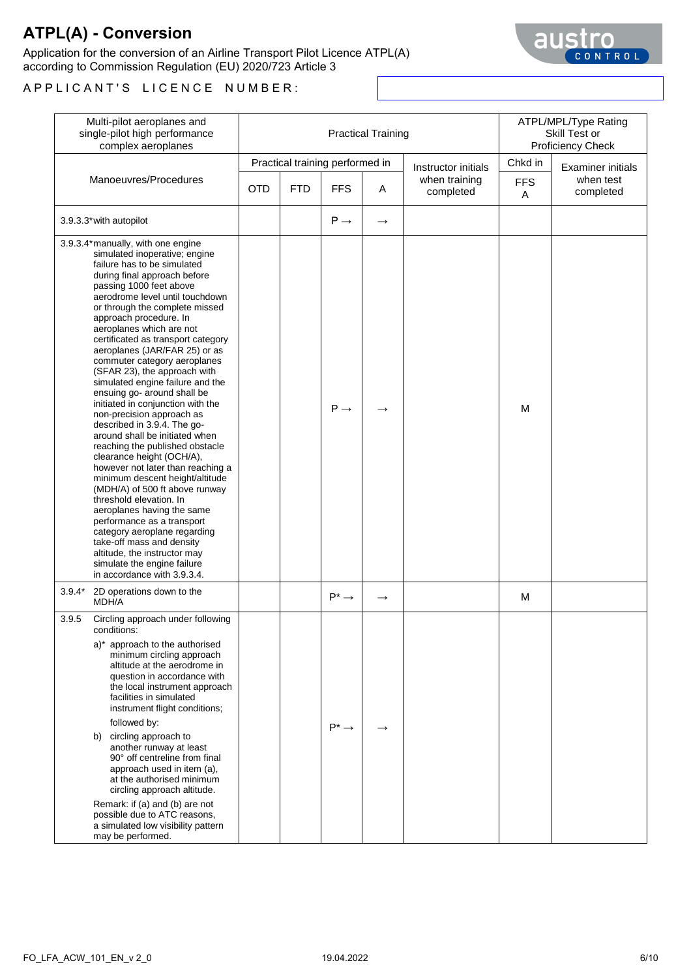Application for the conversion of an Airline Transport Pilot Licence ATPL(A) according to Commission Regulation (EU) 2020/723 Article 3

| Multi-pilot aeroplanes and<br>single-pilot high performance<br>complex aeroplanes                                                                                                                                                                                                                                                                                                                                                                                                                                                                                                                                                                                                                                                                                                                                                                                                                                                                                                                                                                                 |            |            | <b>Practical Training</b>       | ATPL/MPL/Type Rating<br>Skill Test or<br>Proficiency Check |                            |                 |                          |
|-------------------------------------------------------------------------------------------------------------------------------------------------------------------------------------------------------------------------------------------------------------------------------------------------------------------------------------------------------------------------------------------------------------------------------------------------------------------------------------------------------------------------------------------------------------------------------------------------------------------------------------------------------------------------------------------------------------------------------------------------------------------------------------------------------------------------------------------------------------------------------------------------------------------------------------------------------------------------------------------------------------------------------------------------------------------|------------|------------|---------------------------------|------------------------------------------------------------|----------------------------|-----------------|--------------------------|
|                                                                                                                                                                                                                                                                                                                                                                                                                                                                                                                                                                                                                                                                                                                                                                                                                                                                                                                                                                                                                                                                   |            |            | Practical training performed in |                                                            | Instructor initials        | Chkd in         | <b>Examiner initials</b> |
| Manoeuvres/Procedures                                                                                                                                                                                                                                                                                                                                                                                                                                                                                                                                                                                                                                                                                                                                                                                                                                                                                                                                                                                                                                             | <b>OTD</b> | <b>FTD</b> | <b>FFS</b>                      | A                                                          | when training<br>completed | <b>FFS</b><br>Α | when test<br>completed   |
| 3.9.3.3* with autopilot                                                                                                                                                                                                                                                                                                                                                                                                                                                                                                                                                                                                                                                                                                                                                                                                                                                                                                                                                                                                                                           |            |            | $P \rightarrow$                 | $\longrightarrow$                                          |                            |                 |                          |
| 3.9.3.4* manually, with one engine<br>simulated inoperative; engine<br>failure has to be simulated<br>during final approach before<br>passing 1000 feet above<br>aerodrome level until touchdown<br>or through the complete missed<br>approach procedure. In<br>aeroplanes which are not<br>certificated as transport category<br>aeroplanes (JAR/FAR 25) or as<br>commuter category aeroplanes<br>(SFAR 23), the approach with<br>simulated engine failure and the<br>ensuing go- around shall be<br>initiated in conjunction with the<br>non-precision approach as<br>described in 3.9.4. The go-<br>around shall be initiated when<br>reaching the published obstacle<br>clearance height (OCH/A),<br>however not later than reaching a<br>minimum descent height/altitude<br>(MDH/A) of 500 ft above runway<br>threshold elevation. In<br>aeroplanes having the same<br>performance as a transport<br>category aeroplane regarding<br>take-off mass and density<br>altitude, the instructor may<br>simulate the engine failure<br>in accordance with 3.9.3.4. |            |            | $P \rightarrow$                 |                                                            |                            | M               |                          |
| $3.9.4*$<br>2D operations down to the<br>MDH/A                                                                                                                                                                                                                                                                                                                                                                                                                                                                                                                                                                                                                                                                                                                                                                                                                                                                                                                                                                                                                    |            |            | $P^* \rightarrow$               | $\rightarrow$                                              |                            | M               |                          |
| 3.9.5<br>Circling approach under following<br>conditions:<br>a)* approach to the authorised<br>minimum circling approach<br>altitude at the aerodrome in<br>question in accordance with<br>the local instrument approach<br>facilities in simulated<br>instrument flight conditions;<br>followed by:<br>b) circling approach to<br>another runway at least<br>90° off centreline from final<br>approach used in item (a),<br>at the authorised minimum<br>circling approach altitude.<br>Remark: if (a) and (b) are not<br>possible due to ATC reasons,<br>a simulated low visibility pattern<br>may be performed.                                                                                                                                                                                                                                                                                                                                                                                                                                                |            |            | $P^* \rightarrow$               |                                                            |                            |                 |                          |

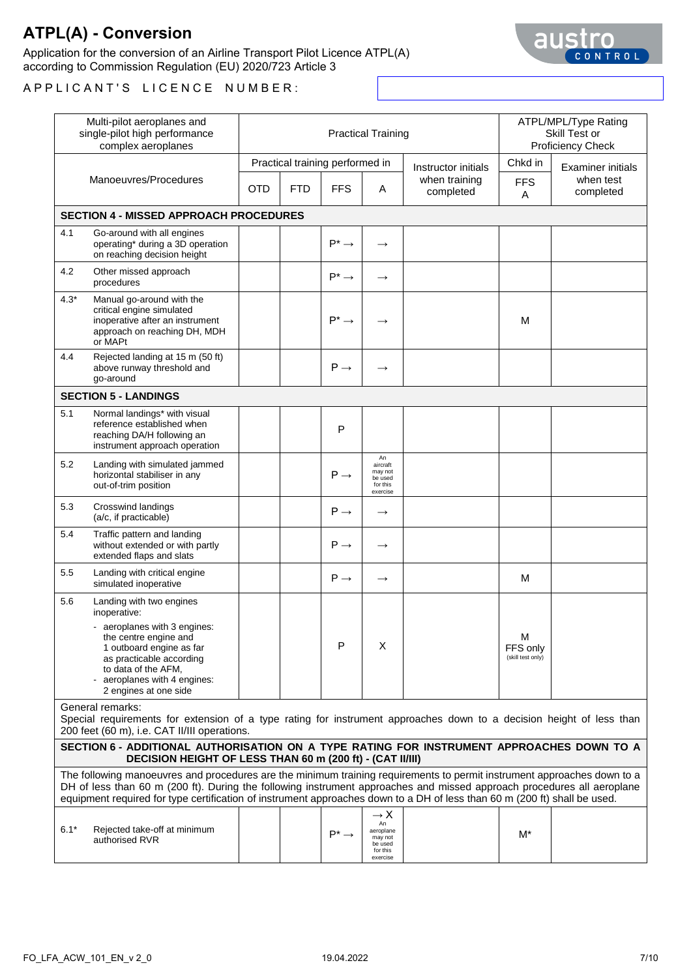Application for the conversion of an Airline Transport Pilot Licence ATPL(A) according to Commission Regulation (EU) 2020/723 Article 3



|        | Multi-pilot aeroplanes and<br>single-pilot high performance<br>complex aeroplanes                                                                                                                                                                                                                                                                                              |            |            |                                 | <b>Practical Training</b>                                                        |                            |                                    | ATPL/MPL/Type Rating<br>Skill Test or<br>Proficiency Check |  |
|--------|--------------------------------------------------------------------------------------------------------------------------------------------------------------------------------------------------------------------------------------------------------------------------------------------------------------------------------------------------------------------------------|------------|------------|---------------------------------|----------------------------------------------------------------------------------|----------------------------|------------------------------------|------------------------------------------------------------|--|
|        |                                                                                                                                                                                                                                                                                                                                                                                |            |            | Practical training performed in |                                                                                  | Instructor initials        | Chkd in                            | <b>Examiner initials</b>                                   |  |
|        | Manoeuvres/Procedures                                                                                                                                                                                                                                                                                                                                                          | <b>OTD</b> | <b>FTD</b> | <b>FFS</b>                      | A                                                                                | when training<br>completed | <b>FFS</b><br>A                    | when test<br>completed                                     |  |
|        | <b>SECTION 4 - MISSED APPROACH PROCEDURES</b>                                                                                                                                                                                                                                                                                                                                  |            |            |                                 |                                                                                  |                            |                                    |                                                            |  |
| 4.1    | Go-around with all engines<br>operating* during a 3D operation<br>on reaching decision height                                                                                                                                                                                                                                                                                  |            |            | $P^* \rightarrow$               | $\rightarrow$                                                                    |                            |                                    |                                                            |  |
| 4.2    | Other missed approach<br>procedures                                                                                                                                                                                                                                                                                                                                            |            |            | $P^* \rightarrow$               | $\rightarrow$                                                                    |                            |                                    |                                                            |  |
| $4.3*$ | Manual go-around with the<br>critical engine simulated<br>inoperative after an instrument<br>approach on reaching DH, MDH<br>or MAPt                                                                                                                                                                                                                                           |            |            | $P^* \rightarrow$               |                                                                                  |                            | M                                  |                                                            |  |
| 4.4    | Rejected landing at 15 m (50 ft)<br>above runway threshold and<br>go-around                                                                                                                                                                                                                                                                                                    |            |            | $P \rightarrow$                 | $\rightarrow$                                                                    |                            |                                    |                                                            |  |
|        | <b>SECTION 5 - LANDINGS</b>                                                                                                                                                                                                                                                                                                                                                    |            |            |                                 |                                                                                  |                            |                                    |                                                            |  |
| 5.1    | Normal landings* with visual<br>reference established when<br>reaching DA/H following an<br>instrument approach operation                                                                                                                                                                                                                                                      |            |            | P                               |                                                                                  |                            |                                    |                                                            |  |
| 5.2    | Landing with simulated jammed<br>horizontal stabiliser in any<br>out-of-trim position                                                                                                                                                                                                                                                                                          |            |            | $P \rightarrow$                 | An<br>aircraft<br>may not<br>be used<br>for this<br>exercise                     |                            |                                    |                                                            |  |
| 5.3    | <b>Crosswind landings</b><br>(a/c, if practicable)                                                                                                                                                                                                                                                                                                                             |            |            | $P \rightarrow$                 | $\longrightarrow$                                                                |                            |                                    |                                                            |  |
| 5.4    | Traffic pattern and landing<br>without extended or with partly<br>extended flaps and slats                                                                                                                                                                                                                                                                                     |            |            | $P \rightarrow$                 | $\rightarrow$                                                                    |                            |                                    |                                                            |  |
| 5.5    | Landing with critical engine<br>simulated inoperative                                                                                                                                                                                                                                                                                                                          |            |            | $P \rightarrow$                 | $\rightarrow$                                                                    |                            | м                                  |                                                            |  |
| 5.6    | Landing with two engines<br>inoperative:<br>- aeroplanes with 3 engines:<br>the centre engine and<br>1 outboard engine as far<br>as practicable according<br>to data of the AFM,<br>aeroplanes with 4 engines:<br>2 engines at one side                                                                                                                                        |            |            | P                               | X                                                                                |                            | M<br>FFS only<br>(skill test only) |                                                            |  |
|        | General remarks:<br>Special requirements for extension of a type rating for instrument approaches down to a decision height of less than<br>200 feet (60 m), i.e. CAT II/III operations.                                                                                                                                                                                       |            |            |                                 |                                                                                  |                            |                                    |                                                            |  |
|        | SECTION 6 - ADDITIONAL AUTHORISATION ON A TYPE RATING FOR INSTRUMENT APPROACHES DOWN TO A<br>DECISION HEIGHT OF LESS THAN 60 m (200 ft) - (CAT II/III)                                                                                                                                                                                                                         |            |            |                                 |                                                                                  |                            |                                    |                                                            |  |
|        | The following manoeuvres and procedures are the minimum training requirements to permit instrument approaches down to a<br>DH of less than 60 m (200 ft). During the following instrument approaches and missed approach procedures all aeroplane<br>equipment required for type certification of instrument approaches down to a DH of less than 60 m (200 ft) shall be used. |            |            |                                 |                                                                                  |                            |                                    |                                                            |  |
| $6.1*$ | Rejected take-off at minimum<br>authorised RVR                                                                                                                                                                                                                                                                                                                                 |            |            | $P^* \rightarrow$               | $\rightarrow$ X<br>An<br>aeroplane<br>may not<br>be used<br>for this<br>exercise |                            | M*                                 |                                                            |  |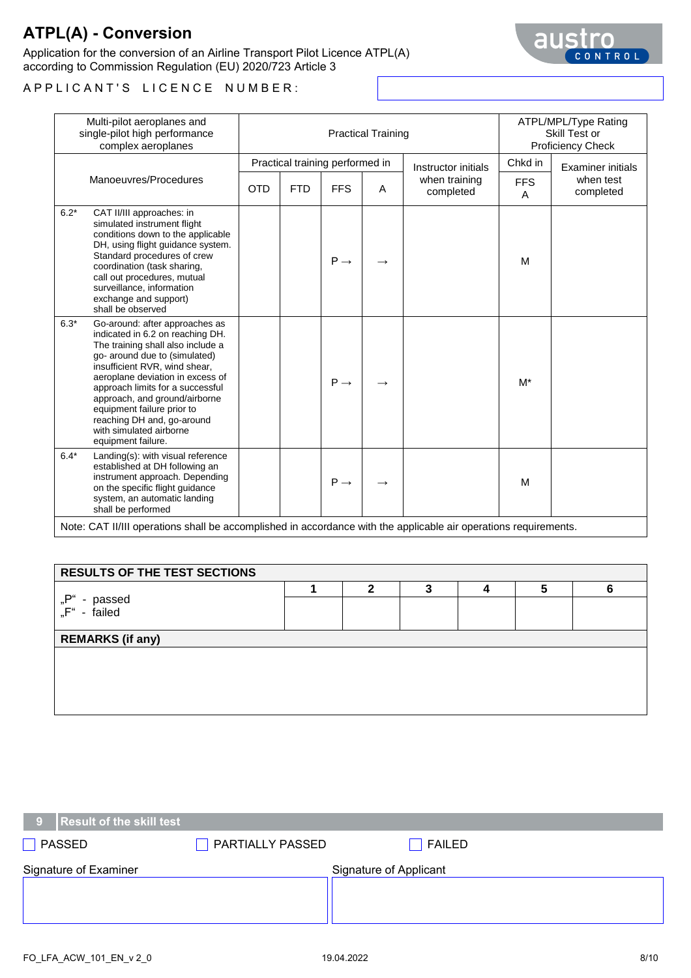Application for the conversion of an Airline Transport Pilot Licence ATPL(A) according to Commission Regulation (EU) 2020/723 Article 3



A P P L I C A N T ' S L I C E N C E N U M B E R :

|        | Multi-pilot aeroplanes and<br>single-pilot high performance<br>complex aeroplanes                                                                                                                                                                                                                                                                                                               |            |            | <b>Practical Training</b>       | ATPL/MPL/Type Rating<br>Skill Test or<br><b>Proficiency Check</b> |                            |                 |                        |
|--------|-------------------------------------------------------------------------------------------------------------------------------------------------------------------------------------------------------------------------------------------------------------------------------------------------------------------------------------------------------------------------------------------------|------------|------------|---------------------------------|-------------------------------------------------------------------|----------------------------|-----------------|------------------------|
|        |                                                                                                                                                                                                                                                                                                                                                                                                 |            |            | Practical training performed in |                                                                   | Instructor initials        | Chkd in         | Examiner initials      |
|        | Manoeuvres/Procedures                                                                                                                                                                                                                                                                                                                                                                           | <b>OTD</b> | <b>FTD</b> | <b>FFS</b>                      | A                                                                 | when training<br>completed | <b>FFS</b><br>A | when test<br>completed |
| $6.2*$ | CAT II/III approaches: in<br>simulated instrument flight<br>conditions down to the applicable<br>DH, using flight guidance system.<br>Standard procedures of crew<br>coordination (task sharing,<br>call out procedures, mutual<br>surveillance, information<br>exchange and support)<br>shall be observed                                                                                      |            |            | $P \rightarrow$                 |                                                                   |                            | M               |                        |
| $6.3*$ | Go-around: after approaches as<br>indicated in 6.2 on reaching DH.<br>The training shall also include a<br>go- around due to (simulated)<br>insufficient RVR, wind shear,<br>aeroplane deviation in excess of<br>approach limits for a successful<br>approach, and ground/airborne<br>equipment failure prior to<br>reaching DH and, go-around<br>with simulated airborne<br>equipment failure. |            |            | $P \rightarrow$                 |                                                                   |                            | $M^*$           |                        |
| $6.4*$ | Landing(s): with visual reference<br>established at DH following an<br>instrument approach. Depending<br>on the specific flight guidance<br>system, an automatic landing<br>shall be performed                                                                                                                                                                                                  |            |            | $P \rightarrow$                 |                                                                   |                            | M               |                        |
|        | Note: CAT II/III operations shall be accomplished in accordance with the applicable air operations requirements.                                                                                                                                                                                                                                                                                |            |            |                                 |                                                                   |                            |                 |                        |

| <b>RESULTS OF THE TEST SECTIONS</b> |  |   |   |  |   |   |  |
|-------------------------------------|--|---|---|--|---|---|--|
| "P"<br>- passed<br>"F" - failed     |  | າ | ≏ |  | 5 | 6 |  |
| <b>REMARKS (if any)</b>             |  |   |   |  |   |   |  |
|                                     |  |   |   |  |   |   |  |
|                                     |  |   |   |  |   |   |  |
|                                     |  |   |   |  |   |   |  |
|                                     |  |   |   |  |   |   |  |

| PASSED                | PARTIALLY PASSED       | FAILED |  |  |
|-----------------------|------------------------|--------|--|--|
| Signature of Examiner | Signature of Applicant |        |  |  |
|                       |                        |        |  |  |
|                       |                        |        |  |  |

**9 Result of the skill test**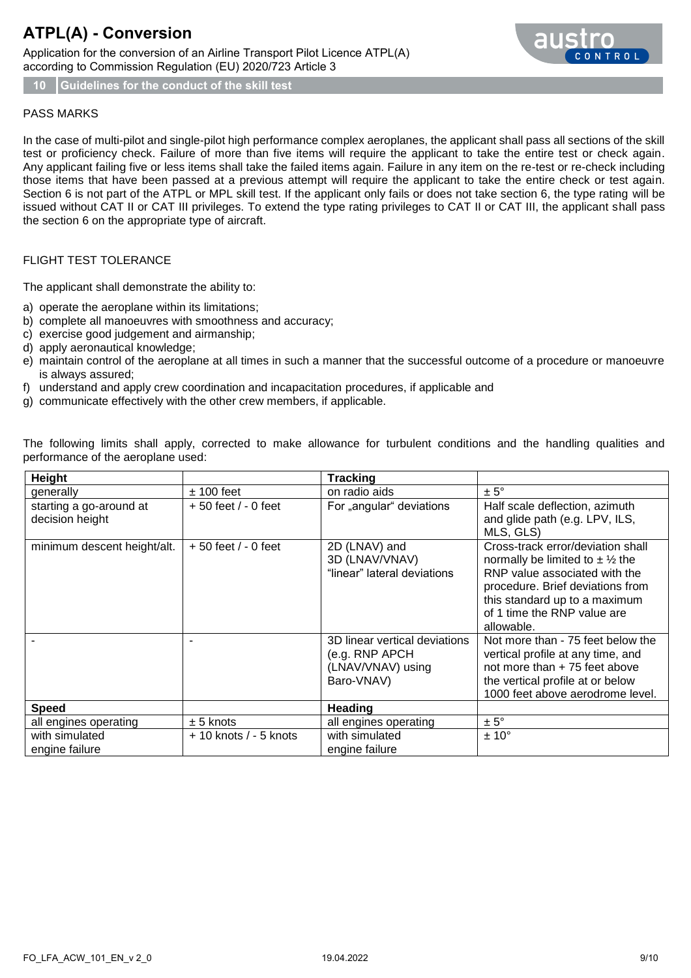Application for the conversion of an Airline Transport Pilot Licence ATPL(A) according to Commission Regulation (EU) 2020/723 Article 3



**10 Guidelines for the conduct of the skill test**

#### PASS MARKS

In the case of multi-pilot and single-pilot high performance complex aeroplanes, the applicant shall pass all sections of the skill test or proficiency check. Failure of more than five items will require the applicant to take the entire test or check again. Any applicant failing five or less items shall take the failed items again. Failure in any item on the re-test or re-check including those items that have been passed at a previous attempt will require the applicant to take the entire check or test again. Section 6 is not part of the ATPL or MPL skill test. If the applicant only fails or does not take section 6, the type rating will be issued without CAT II or CAT III privileges. To extend the type rating privileges to CAT II or CAT III, the applicant shall pass the section 6 on the appropriate type of aircraft.

#### FLIGHT TEST TOLERANCE

The applicant shall demonstrate the ability to:

- a) operate the aeroplane within its limitations;
- b) complete all manoeuvres with smoothness and accuracy;
- c) exercise good judgement and airmanship;
- d) apply aeronautical knowledge;
- e) maintain control of the aeroplane at all times in such a manner that the successful outcome of a procedure or manoeuvre is always assured;
- f) understand and apply crew coordination and incapacitation procedures, if applicable and
- g) communicate effectively with the other crew members, if applicable.

The following limits shall apply, corrected to make allowance for turbulent conditions and the handling qualities and performance of the aeroplane used:

| Height                                     |                           | <b>Tracking</b>                                                                    |                                                                                                                                                                                                                              |
|--------------------------------------------|---------------------------|------------------------------------------------------------------------------------|------------------------------------------------------------------------------------------------------------------------------------------------------------------------------------------------------------------------------|
| generally                                  | $±$ 100 feet              | on radio aids                                                                      | $\pm 5^{\circ}$                                                                                                                                                                                                              |
| starting a go-around at<br>decision height | $+50$ feet $/ -0$ feet    | For "angular" deviations                                                           | Half scale deflection, azimuth<br>and glide path (e.g. LPV, ILS,<br>MLS, GLS)                                                                                                                                                |
| minimum descent height/alt.                | $+50$ feet / - 0 feet     | 2D (LNAV) and<br>3D (LNAV/VNAV)<br>"linear" lateral deviations                     | Cross-track error/deviation shall<br>normally be limited to $\pm$ 1/2 the<br>RNP value associated with the<br>procedure. Brief deviations from<br>this standard up to a maximum<br>of 1 time the RNP value are<br>allowable. |
|                                            |                           | 3D linear vertical deviations<br>(e.g. RNP APCH<br>(LNAV/VNAV) using<br>Baro-VNAV) | Not more than - 75 feet below the<br>vertical profile at any time, and<br>not more than $+ 75$ feet above<br>the vertical profile at or below<br>1000 feet above aerodrome level.                                            |
| <b>Speed</b>                               |                           | <b>Heading</b>                                                                     |                                                                                                                                                                                                                              |
| all engines operating                      | $± 5$ knots               | all engines operating                                                              | $± 5^\circ$                                                                                                                                                                                                                  |
| with simulated<br>engine failure           | $+10$ knots $/ - 5$ knots | with simulated<br>engine failure                                                   | $± 10^{\circ}$                                                                                                                                                                                                               |